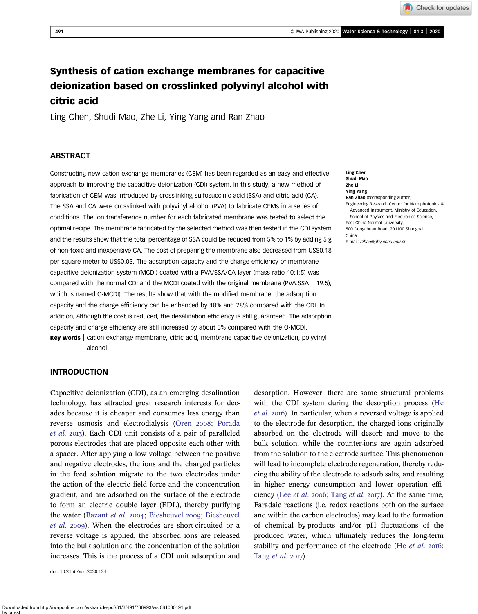Check for updates

# Synthesis of cation exchange membranes for capacitive deionization based on crosslinked polyvinyl alcohol with citric acid

Ling Chen, Shudi Mao, Zhe Li, Ying Yang and Ran Zhao

# **ABSTRACT**

Constructing new cation exchange membranes (CEM) has been regarded as an easy and effective approach to improving the capacitive deionization (CDI) system. In this study, a new method of fabrication of CEM was introduced by crosslinking sulfosuccinic acid (SSA) and citric acid (CA). The SSA and CA were crosslinked with polyvinyl alcohol (PVA) to fabricate CEMs in a series of conditions. The ion transference number for each fabricated membrane was tested to select the optimal recipe. The membrane fabricated by the selected method was then tested in the CDI system and the results show that the total percentage of SSA could be reduced from 5% to 1% by adding 5 g of non-toxic and inexpensive CA. The cost of preparing the membrane also decreased from US\$0.18 per square meter to US\$0.03. The adsorption capacity and the charge efficiency of membrane capacitive deionization system (MCDI) coated with a PVA/SSA/CA layer (mass ratio 10:1:5) was compared with the normal CDI and the MCDI coated with the original membrane (PVA:SSA = 19:5), which is named O-MCDI). The results show that with the modified membrane, the adsorption capacity and the charge efficiency can be enhanced by 18% and 28% compared with the CDI. In addition, although the cost is reduced, the desalination efficiency is still guaranteed. The adsorption capacity and charge efficiency are still increased by about 3% compared with the O-MCDI.

Key words | cation exchange membrane, citric acid, membrane capacitive deionization, polyvinyl alcohol

#### Ling Chen Shudi Mao Zhe Li Ying Yang Ran Zhao (corresponding author) Engineering Research Center for Nanophotonics & Advanced Instrument, Ministry of Education, School of Physics and Electronics Science, East China Normal University, 500 Dongchuan Road, 201100 Shanghai, China E-mail: [rzhao@phy.ecnu.edu.cn](mailto:rzhao@phy.ecnu.edu.cn)

# **INTRODUCTION**

Capacitive deionization (CDI), as an emerging desalination technology, has attracted great research interests for decades because it is cheaper and consumes less energy than reverse osmosis and electrodialysis ([Oren](#page-7-0) 2008; [Porada](#page-7-0)  $et$  al. 2013). Each CDI unit consists of a pair of paralleled porous electrodes that are placed opposite each other with a spacer. After applying a low voltage between the positive and negative electrodes, the ions and the charged particles in the feed solution migrate to the two electrodes under the action of the electric field force and the concentration gradient, and are adsorbed on the surface of the electrode to form an electric double layer (EDL), thereby purifying the water [\(Bazant](#page-6-0) et al. 2004; [Biesheuvel](#page-6-0) 2009; Biesheuvel [et al.](#page-6-0) 2009). When the electrodes are short-circuited or a reverse voltage is applied, the absorbed ions are released into the bulk solution and the concentration of the solution increases. This is the process of a CDI unit adsorption and

doi: 10.2166/wst.2020.124

desorption. However, there are some structural problems with the CDI system during the desorption process ([He](#page-7-0) [et al.](#page-7-0) 2016). In particular, when a reversed voltage is applied to the electrode for desorption, the charged ions originally absorbed on the electrode will desorb and move to the bulk solution, while the counter-ions are again adsorbed from the solution to the electrode surface. This phenomenon will lead to incomplete electrode regeneration, thereby reducing the ability of the electrode to adsorb salts, and resulting in higher energy consumption and lower operation efficiency (Lee *[et al.](#page-7-0)* 2006; Tang *et al.* 2017). At the same time, Faradaic reactions (i.e. redox reactions both on the surface and within the carbon electrodes) may lead to the formation of chemical by-products and/or pH fluctuations of the produced water, which ultimately reduces the long-term stability and performance of the electrode (He  $et$   $al.$  2016; Tang  $et$  al. 2017).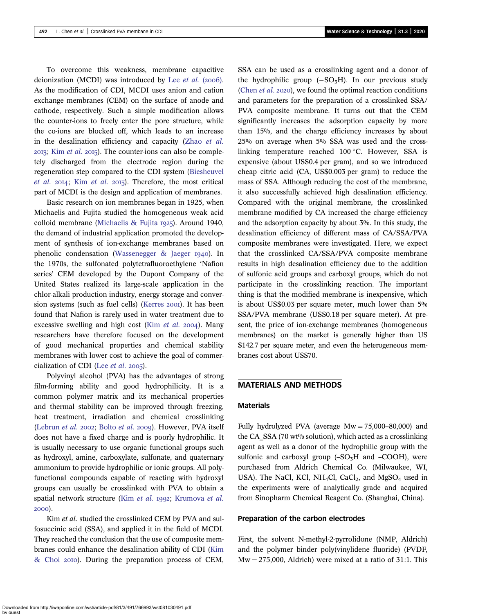To overcome this weakness, membrane capacitive deionization (MCDI) was introduced by Lee  $et$  al. (2006). As the modification of CDI, MCDI uses anion and cation exchange membranes (CEM) on the surface of anode and cathode, respectively. Such a simple modification allows the counter-ions to freely enter the pore structure, while the co-ions are blocked off, which leads to an increase in the desalination efficiency and capacity (Zhao [et al.](#page-7-0)  $2013$ ; Kim *[et al.](#page-7-0)*  $2015$ ). The counter-ions can also be completely discharged from the electrode region during the regeneration step compared to the CDI system ([Biesheuvel](#page-6-0) [et al.](#page-7-0)  $20I4$ ; Kim et al.  $20I5$ ). Therefore, the most critical part of MCDI is the design and application of membranes.

Basic research on ion membranes began in 1925, when Michaelis and Fujita studied the homogeneous weak acid colloid membrane [\(Michaelis & Fujita](#page-7-0) 1925). Around 1940, the demand of industrial application promoted the development of synthesis of ion-exchange membranes based on phenolic condensation (Wassenegger  $\&$  Jaeger 1940). In the 1970s, the sulfonated polytetrafluoroethylene 'Nafion series' CEM developed by the Dupont Company of the United States realized its large-scale application in the chlor-alkali production industry, energy storage and conver-sion systems (such as fuel cells) ([Kerres](#page-7-0) 2001). It has been found that Nafion is rarely used in water treatment due to excessive swelling and high cost (Kim *[et al.](#page-7-0)* 2004). Many researchers have therefore focused on the development of good mechanical properties and chemical stability membranes with lower cost to achieve the goal of commercialization of CDI (Lee  $et$  al. 2005).

Polyvinyl alcohol (PVA) has the advantages of strong film-forming ability and good hydrophilicity. It is a common polymer matrix and its mechanical properties and thermal stability can be improved through freezing, heat treatment, irradiation and chemical crosslinking ([Lebrun](#page-7-0) et al. 2002; [Bolto](#page-6-0) et al. 2009). However, PVA itself does not have a fixed charge and is poorly hydrophilic. It is usually necessary to use organic functional groups such as hydroxyl, amine, carboxylate, sulfonate, and quaternary ammonium to provide hydrophilic or ionic groups. All polyfunctional compounds capable of reacting with hydroxyl groups can usually be crosslinked with PVA to obtain a spatial network structure (Kim [et al.](#page-7-0) 1992; [Krumova](#page-7-0) et al. 2000).

Kim et al. studied the crosslinked CEM by PVA and sulfosuccinic acid (SSA), and applied it in the field of MCDI. They reached the conclusion that the use of composite membranes could enhance the desalination ability of CDI [\(Kim](#page-7-0)  $& Choi 20I0$  $& Choi 20I0$ . During the preparation process of CEM, SSA can be used as a crosslinking agent and a donor of the hydrophilic group  $(-SO_3H)$ . In our previous study ([Chen](#page-6-0)  $et$   $al.$  2020), we found the optimal reaction conditions and parameters for the preparation of a crosslinked SSA/ PVA composite membrane. It turns out that the CEM significantly increases the adsorption capacity by more than 15%, and the charge efficiency increases by about 25% on average when 5% SSA was used and the crosslinking temperature reached 100 °C. However, SSA is expensive (about US\$0.4 per gram), and so we introduced cheap citric acid (CA, US\$0.003 per gram) to reduce the mass of SSA. Although reducing the cost of the membrane, it also successfully achieved high desalination efficiency. Compared with the original membrane, the crosslinked membrane modified by CA increased the charge efficiency and the adsorption capacity by about 3%. In this study, the desalination efficiency of different mass of CA/SSA/PVA composite membranes were investigated. Here, we expect that the crosslinked CA/SSA/PVA composite membrane results in high desalination efficiency due to the addition of sulfonic acid groups and carboxyl groups, which do not participate in the crosslinking reaction. The important thing is that the modified membrane is inexpensive, which is about US\$0.03 per square meter, much lower than 5% SSA/PVA membrane (US\$0.18 per square meter). At present, the price of ion-exchange membranes (homogeneous membranes) on the market is generally higher than US \$142.7 per square meter, and even the heterogeneous membranes cost about US\$70.

# MATERIALS AND METHODS

# Materials

Fully hydrolyzed PVA (average  $Mw = 75,000-80,000$ ) and the CA\_SSA (70 wt% solution), which acted as a crosslinking agent as well as a donor of the hydrophilic group with the sulfonic and carboxyl group  $(-SO<sub>3</sub>H$  and  $-COOH)$ , were purchased from Aldrich Chemical Co. (Milwaukee, WI, USA). The NaCl, KCl, NH<sub>4</sub>Cl, CaCl<sub>2</sub>, and MgSO<sub>4</sub> used in the experiments were of analytically grade and acquired from Sinopharm Chemical Reagent Co. (Shanghai, China).

### Preparation of the carbon electrodes

First, the solvent N-methyl-2-pyrrolidone (NMP, Aldrich) and the polymer binder poly(vinylidene fluoride) (PVDF,  $Mw = 275,000$ , Aldrich) were mixed at a ratio of 31:1. This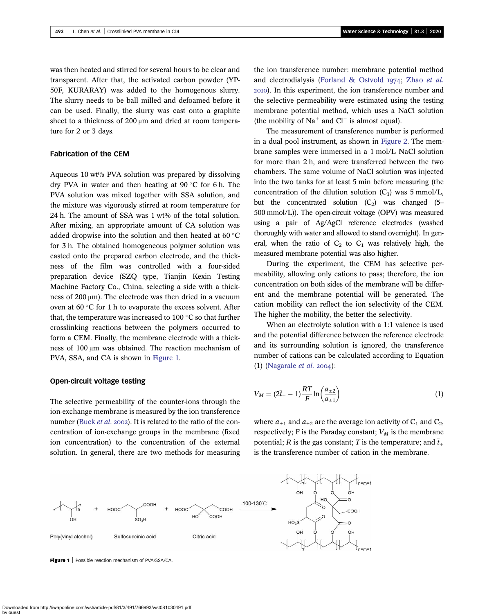was then heated and stirred for several hours to be clear and transparent. After that, the activated carbon powder (YP-50F, KURARAY) was added to the homogenous slurry. The slurry needs to be ball milled and defoamed before it can be used. Finally, the slurry was cast onto a graphite sheet to a thickness of 200 μm and dried at room temperature for 2 or 3 days.

### Fabrication of the CEM

Aqueous 10 wt% PVA solution was prepared by dissolving dry PVA in water and then heating at  $90^{\circ}$ C for 6 h. The PVA solution was mixed together with SSA solution, and the mixture was vigorously stirred at room temperature for 24 h. The amount of SSA was 1 wt% of the total solution. After mixing, an appropriate amount of CA solution was added dropwise into the solution and then heated at 60 $\degree$ C for 3 h. The obtained homogeneous polymer solution was casted onto the prepared carbon electrode, and the thickness of the film was controlled with a four-sided preparation device (SZQ type, Tianjin Kexin Testing Machine Factory Co., China, selecting a side with a thickness of 200 μm). The electrode was then dried in a vacuum oven at  $60 °C$  for 1 h to evaporate the excess solvent. After that, the temperature was increased to 100 $\degree$ C so that further crosslinking reactions between the polymers occurred to form a CEM. Finally, the membrane electrode with a thickness of 100 μm was obtained. The reaction mechanism of PVA, SSA, and CA is shown in Figure 1.

### Open-circuit voltage testing

The selective permeability of the counter-ions through the ion-exchange membrane is measured by the ion transference number ([Buck](#page-6-0) et al. 2002). It is related to the ratio of the concentration of ion-exchange groups in the membrane (fixed ion concentration) to the concentration of the external solution. In general, there are two methods for measuring the ion transference number: membrane potential method and electrodialysis ([Forland & Ostvold](#page-7-0)  $1974$ ; [Zhao](#page-7-0) et al. ). In this experiment, the ion transference number and the selective permeability were estimated using the testing membrane potential method, which uses a NaCl solution (the mobility of  $Na<sup>+</sup>$  and  $Cl<sup>-</sup>$  is almost equal).

The measurement of transference number is performed in a dual pool instrument, as shown in [Figure 2.](#page-3-0) The membrane samples were immersed in a 1 mol/L NaCl solution for more than 2 h, and were transferred between the two chambers. The same volume of NaCl solution was injected into the two tanks for at least 5 min before measuring (the concentration of the dilution solution  $(C_1)$  was 5 mmol/L, but the concentrated solution  $(C_2)$  was changed (5– 500 mmol/L)). The open-circuit voltage (OPV) was measured using a pair of Ag/AgCl reference electrodes (washed thoroughly with water and allowed to stand overnight). In general, when the ratio of  $C_2$  to  $C_1$  was relatively high, the measured membrane potential was also higher.

During the experiment, the CEM has selective permeability, allowing only cations to pass; therefore, the ion concentration on both sides of the membrane will be different and the membrane potential will be generated. The cation mobility can reflect the ion selectivity of the CEM. The higher the mobility, the better the selectivity.

When an electrolyte solution with a 1:1 valence is used and the potential difference between the reference electrode and its surrounding solution is ignored, the transference number of cations can be calculated according to Equation (1) [\(Nagarale](#page-7-0) *et al.* 2004):

$$
V_M = (2\bar{t}_{+} - 1)\frac{RT}{F}\ln\left(\frac{a_{\pm 2}}{a_{\pm 1}}\right) \tag{1}
$$

where  $a_{\pm 1}$  and  $a_{\pm 2}$  are the average ion activity of  $C_1$  and  $C_2$ , respectively; F is the Faraday constant;  $V_M$  is the membrane potential; R is the gas constant; T is the temperature; and  $\bar{t}_+$ is the transference number of cation in the membrane.



Downloaded from http://iwaponline.com/wst/article-pdf/81/3/491/766993/wst081030491.pdf by guest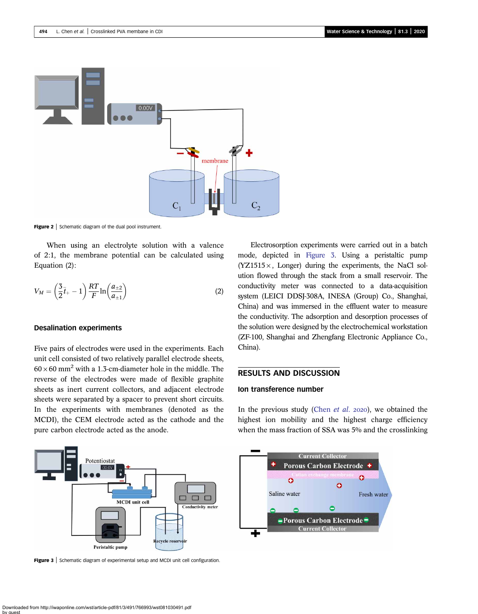<span id="page-3-0"></span>

Figure 2 | Schematic diagram of the dual pool instrument.

When using an electrolyte solution with a valence of 2:1, the membrane potential can be calculated using Equation (2):

$$
V_M = \left(\frac{3}{2}\overline{t}_+ - 1\right) \frac{RT}{F} \ln\left(\frac{a_{\pm 2}}{a_{\pm 1}}\right) \tag{2}
$$

# Desalination experiments

Five pairs of electrodes were used in the experiments. Each unit cell consisted of two relatively parallel electrode sheets,  $60 \times 60$  mm<sup>2</sup> with a 1.3-cm-diameter hole in the middle. The reverse of the electrodes were made of flexible graphite sheets as inert current collectors, and adjacent electrode sheets were separated by a spacer to prevent short circuits. In the experiments with membranes (denoted as the MCDI), the CEM electrode acted as the cathode and the pure carbon electrode acted as the anode.

Electrosorption experiments were carried out in a batch mode, depicted in Figure 3. Using a peristaltic pump  $(YZ1515 \times,$  Longer) during the experiments, the NaCl solution flowed through the stack from a small reservoir. The conductivity meter was connected to a data-acquisition system (LEICI DDSJ-308A, INESA (Group) Co., Shanghai, China) and was immersed in the effluent water to measure the conductivity. The adsorption and desorption processes of the solution were designed by the electrochemical workstation (ZF-100, Shanghai and Zhengfang Electronic Appliance Co., China).

# RESULTS AND DISCUSSION

# Ion transference number

In the previous study [\(Chen](#page-6-0) *et al.* 2020), we obtained the highest ion mobility and the highest charge efficiency when the mass fraction of SSA was 5% and the crosslinking



Figure 3 | Schematic diagram of experimental setup and MCDI unit cell configuration.

Downloaded from http://iwaponline.com/wst/article-pdf/81/3/491/766993/wst081030491.pdf by guest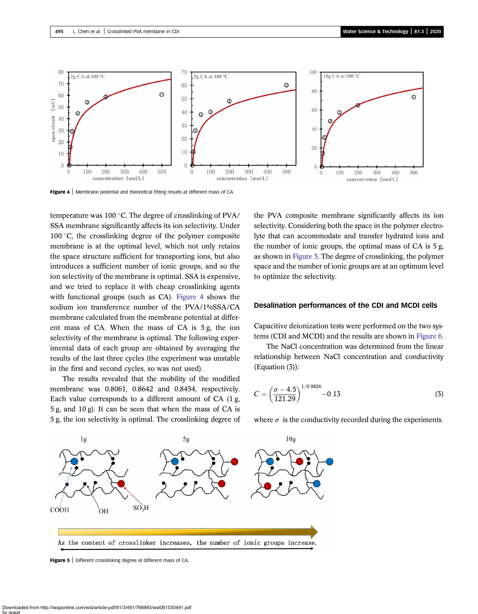

Figure 4 | Membrane potential and theoretical fitting results at different mass of CA.

temperature was 100 °C. The degree of crosslinking of PVA/ SSA membrane significantly affects its ion selectivity. Under 100 $\degree$ C, the crosslinking degree of the polymer composite membrane is at the optimal level, which not only retains the space structure sufficient for transporting ions, but also introduces a sufficient number of ionic groups, and so the ion selectivity of the membrane is optimal. SSA is expensive, and we tried to replace it with cheap crosslinking agents with functional groups (such as CA). Figure 4 shows the sodium ion transference number of the PVA/1%SSA/CA membrane calculated from the membrane potential at different mass of CA. When the mass of CA is 5 g, the ion selectivity of the membrane is optimal. The following experimental data of each group are obtained by averaging the results of the last three cycles (the experiment was unstable in the first and second cycles, so was not used).

The results revealed that the mobility of the modified membrane was 0.8061, 0.8642 and 0.8454, respectively. Each value corresponds to a different amount of CA (1 g, 5 g, and 10 g). It can be seen that when the mass of CA is 5 g, the ion selectivity is optimal. The crosslinking degree of the PVA composite membrane significantly affects its ion selectivity. Considering both the space in the polymer electrolyte that can accommodate and transfer hydrated ions and the number of ionic groups, the optimal mass of CA is 5 g, as shown in Figure 5. The degree of crosslinking, the polymer space and the number of ionic groups are at an optimum level to optimize the selectivity.

### Desalination performances of the CDI and MCDI cells

Capacitive deionization tests were performed on the two systems (CDI and MCDI) and the results are shown in [Figure 6.](#page-5-0)

The NaCl concentration was determined from the linear relationship between NaCl concentration and conductivity (Equation (3)):

$$
C = \left(\frac{\sigma - 4.5}{121.29}\right)^{1/0.9826} - 0.13\tag{3}
$$

where  $\sigma$  is the conductivity recorded during the experiments.



Figure 5 | Different crosslinking degree at different mass of CA.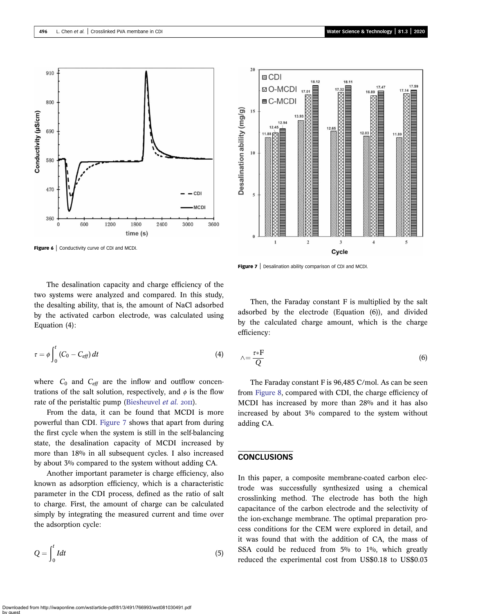<span id="page-5-0"></span>

Figure 6 | Conductivity curve of CDI and MCDI.



Figure 7 | Desalination ability comparison of CDI and MCDI.

The desalination capacity and charge efficiency of the two systems were analyzed and compared. In this study, the desalting ability, that is, the amount of NaCl adsorbed by the activated carbon electrode, was calculated using Equation (4):

$$
\tau = \phi \int_0^t (C_0 - C_{\text{eff}}) dt \tag{4}
$$

where  $C_0$  and  $C_{\text{eff}}$  are the inflow and outflow concentrations of the salt solution, respectively, and  $\phi$  is the flow rate of the peristaltic pump ([Biesheuvel](#page-6-0) et al. 2011).

From the data, it can be found that MCDI is more powerful than CDI. Figure 7 shows that apart from during the first cycle when the system is still in the self-balancing state, the desalination capacity of MCDI increased by more than 18% in all subsequent cycles. I also increased by about 3% compared to the system without adding CA.

Another important parameter is charge efficiency, also known as adsorption efficiency, which is a characteristic parameter in the CDI process, defined as the ratio of salt to charge. First, the amount of charge can be calculated simply by integrating the measured current and time over the adsorption cycle:

$$
Q = \int_0^t I dt
$$
 (5)

Then, the Faraday constant F is multiplied by the salt adsorbed by the electrode (Equation (6)), and divided by the calculated charge amount, which is the charge efficiency:

$$
\wedge = \frac{\tau * F}{Q} \tag{6}
$$

The Faraday constant F is 96,485 C/mol. As can be seen from [Figure 8,](#page-6-0) compared with CDI, the charge efficiency of MCDI has increased by more than 28% and it has also increased by about 3% compared to the system without adding CA.

# **CONCLUSIONS**

In this paper, a composite membrane-coated carbon electrode was successfully synthesized using a chemical crosslinking method. The electrode has both the high capacitance of the carbon electrode and the selectivity of the ion-exchange membrane. The optimal preparation process conditions for the CEM were explored in detail, and it was found that with the addition of CA, the mass of SSA could be reduced from 5% to 1%, which greatly reduced the experimental cost from US\$0.18 to US\$0.03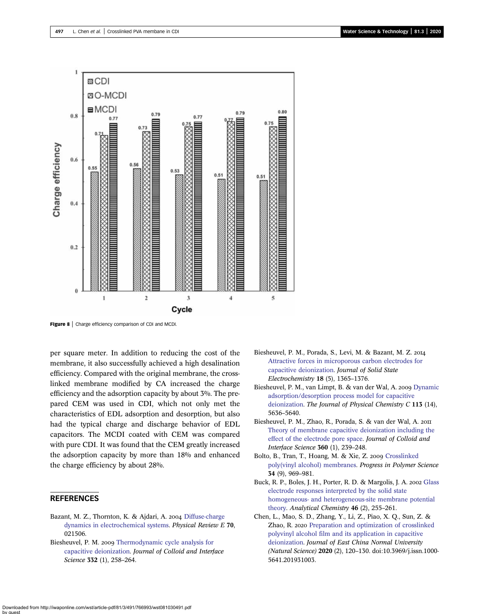<span id="page-6-0"></span>

Figure 8 | Charge efficiency comparison of CDI and MCDI.

per square meter. In addition to reducing the cost of the membrane, it also successfully achieved a high desalination efficiency. Compared with the original membrane, the crosslinked membrane modified by CA increased the charge efficiency and the adsorption capacity by about 3%. The prepared CEM was used in CDI, which not only met the characteristics of EDL adsorption and desorption, but also had the typical charge and discharge behavior of EDL capacitors. The MCDI coated with CEM was compared with pure CDI. It was found that the CEM greatly increased the adsorption capacity by more than 18% and enhanced the charge efficiency by about 28%.

# **REFERENCES**

- Bazant, M. Z., Thornton, K. & Ajdari, A. 2004 [Diffuse-charge](http://dx.doi.org/10.1103/PhysRevE.70.021506) [dynamics in electrochemical systems](http://dx.doi.org/10.1103/PhysRevE.70.021506). Physical Review E 70, 021506.
- Biesheuvel, P. M. 2009 [Thermodynamic cycle analysis for](http://dx.doi.org/10.1016/j.jcis.2008.12.018) [capacitive deionization](http://dx.doi.org/10.1016/j.jcis.2008.12.018). Journal of Colloid and Interface Science **332** (1), 258-264.
- Biesheuvel, P. M., Porada, S., Levi, M. & Bazant, M. Z. [Attractive forces in microporous carbon electrodes for](http://dx.doi.org/10.1007/s10008-014-2383-5) [capacitive deionization](http://dx.doi.org/10.1007/s10008-014-2383-5). Journal of Solid State Electrochemistry 18 (5), 1365–1376.
- Biesheuvel, P. M., van Limpt, B. & van der Wal, A. 2009 [Dynamic](http://dx.doi.org/10.1021/jp809644s) [adsorption/desorption process model for capacitive](http://dx.doi.org/10.1021/jp809644s) [deionization.](http://dx.doi.org/10.1021/jp809644s) The Journal of Physical Chemistry C 113 (14), 5636–5640.
- Biesheuvel, P. M., Zhao, R., Porada, S. & van der Wal, A. [Theory of membrane capacitive deionization including the](http://dx.doi.org/10.1016/j.jcis.2011.04.049) [effect of the electrode pore space](http://dx.doi.org/10.1016/j.jcis.2011.04.049). Journal of Colloid and Interface Science 360 (1), 239–248.
- Bolto, B., Tran, T., Hoang, M. & Xie, Z. 2009 [Crosslinked](http://dx.doi.org/10.1016/j.progpolymsci.2009.05.003) [poly\(vinyl alcohol\) membranes](http://dx.doi.org/10.1016/j.progpolymsci.2009.05.003). Progress in Polymer Science 34 (9), 969–981.
- Buck, R. P., Boles, J. H., Porter, R. D. & Margolis, J. A. 2002 [Glass](http://dx.doi.org/10.1021/ac60338a019) [electrode responses interpreted by the solid state](http://dx.doi.org/10.1021/ac60338a019) [homogeneous- and heterogeneous-site membrane potential](http://dx.doi.org/10.1021/ac60338a019) [theory.](http://dx.doi.org/10.1021/ac60338a019) Analytical Chemistry 46 (2), 255–261.
- Chen, L., Mao, S. D., Zhang, Y., Li, Z., Piao, X. Q., Sun, Z. & Zhao, R. 2020 [Preparation and optimization of crosslinked](http://dx.doi.org/10.3969/j.issn.1000-5641.201931003) [polyvinyl alcohol film and its application in capacitive](http://dx.doi.org/10.3969/j.issn.1000-5641.201931003) [deionization.](http://dx.doi.org/10.3969/j.issn.1000-5641.201931003) Journal of East China Normal University (Natural Science) 2020 (2), 120–130. doi:10.3969/j.issn.1000- 5641.201931003.